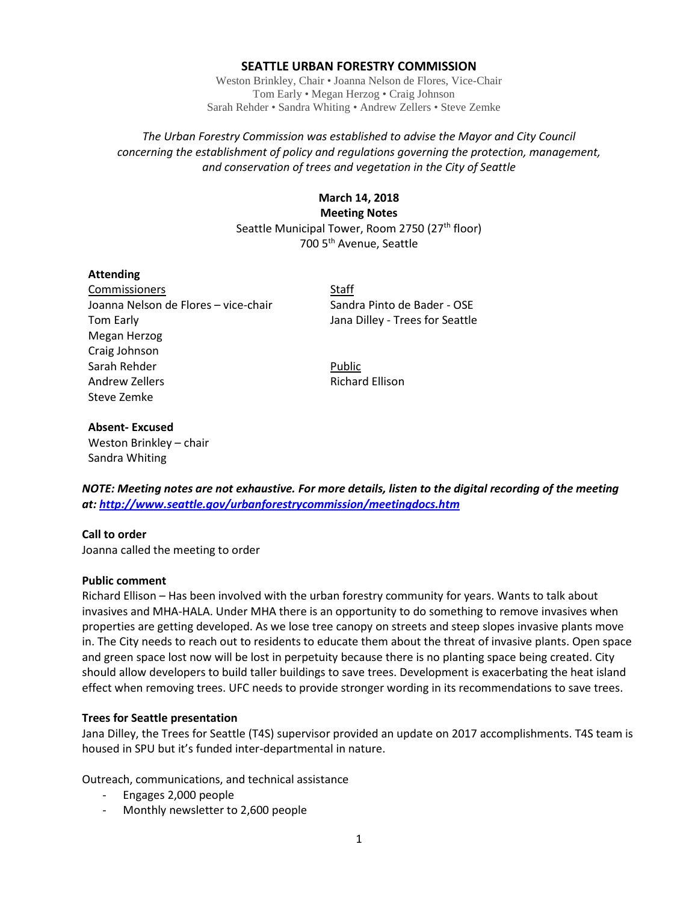## **SEATTLE URBAN FORESTRY COMMISSION**

Weston Brinkley, Chair • Joanna Nelson de Flores, Vice-Chair Tom Early • Megan Herzog • Craig Johnson Sarah Rehder • Sandra Whiting • Andrew Zellers • Steve Zemke

## *The Urban Forestry Commission was established to advise the Mayor and City Council concerning the establishment of policy and regulations governing the protection, management, and conservation of trees and vegetation in the City of Seattle*

# **March 14, 2018 Meeting Notes** Seattle Municipal Tower, Room 2750 (27<sup>th</sup> floor) 700 5th Avenue, Seattle

#### **Attending**

Commissioners Staff Joanna Nelson de Flores – vice-chair Sandra Pinto de Bader - OSE Tom Early Jana Dilley - Trees for Seattle Megan Herzog Craig Johnson Sarah Rehder Public Andrew Zellers **Richard Ellison** Steve Zemke

## **Absent- Excused**

Weston Brinkley – chair Sandra Whiting

*NOTE: Meeting notes are not exhaustive. For more details, listen to the digital recording of the meeting at:<http://www.seattle.gov/urbanforestrycommission/meetingdocs.htm>*

## **Call to order**

Joanna called the meeting to order

## **Public comment**

Richard Ellison – Has been involved with the urban forestry community for years. Wants to talk about invasives and MHA-HALA. Under MHA there is an opportunity to do something to remove invasives when properties are getting developed. As we lose tree canopy on streets and steep slopes invasive plants move in. The City needs to reach out to residents to educate them about the threat of invasive plants. Open space and green space lost now will be lost in perpetuity because there is no planting space being created. City should allow developers to build taller buildings to save trees. Development is exacerbating the heat island effect when removing trees. UFC needs to provide stronger wording in its recommendations to save trees.

## **Trees for Seattle presentation**

Jana Dilley, the Trees for Seattle (T4S) supervisor provided an update on 2017 accomplishments. T4S team is housed in SPU but it's funded inter-departmental in nature.

Outreach, communications, and technical assistance

- Engages 2,000 people
- Monthly newsletter to 2,600 people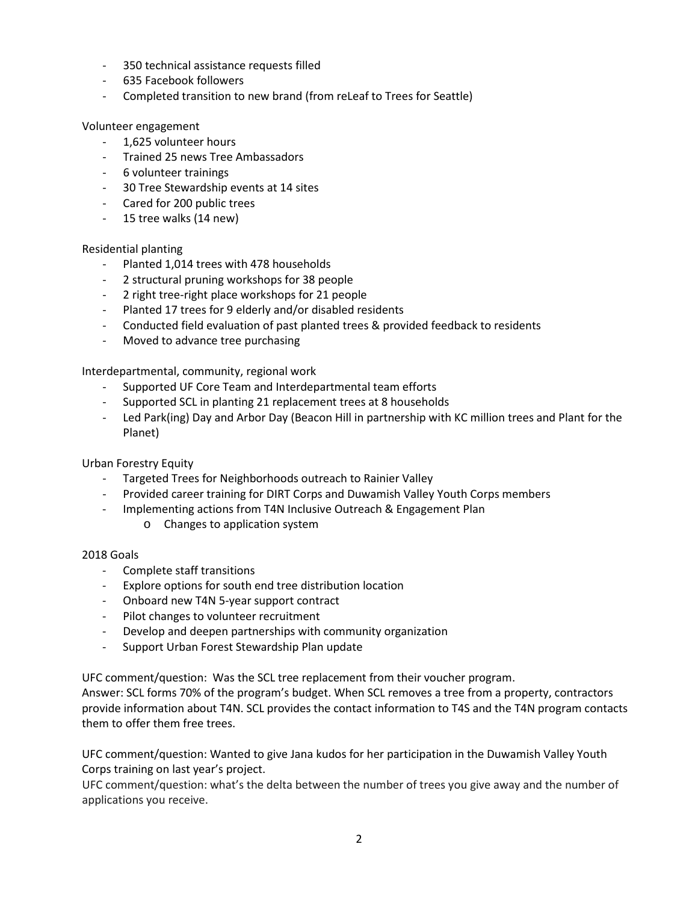- 350 technical assistance requests filled
- 635 Facebook followers
- Completed transition to new brand (from reLeaf to Trees for Seattle)

#### Volunteer engagement

- 1,625 volunteer hours
- Trained 25 news Tree Ambassadors
- 6 volunteer trainings
- 30 Tree Stewardship events at 14 sites
- Cared for 200 public trees
- 15 tree walks (14 new)

## Residential planting

- Planted 1,014 trees with 478 households
- 2 structural pruning workshops for 38 people
- 2 right tree-right place workshops for 21 people
- Planted 17 trees for 9 elderly and/or disabled residents
- Conducted field evaluation of past planted trees & provided feedback to residents
- Moved to advance tree purchasing

Interdepartmental, community, regional work

- Supported UF Core Team and Interdepartmental team efforts
- Supported SCL in planting 21 replacement trees at 8 households
- Led Park(ing) Day and Arbor Day (Beacon Hill in partnership with KC million trees and Plant for the Planet)

## Urban Forestry Equity

- Targeted Trees for Neighborhoods outreach to Rainier Valley
- Provided career training for DIRT Corps and Duwamish Valley Youth Corps members
- Implementing actions from T4N Inclusive Outreach & Engagement Plan
	- o Changes to application system

## 2018 Goals

- Complete staff transitions
- Explore options for south end tree distribution location
- Onboard new T4N 5-year support contract
- Pilot changes to volunteer recruitment
- Develop and deepen partnerships with community organization
- Support Urban Forest Stewardship Plan update

UFC comment/question: Was the SCL tree replacement from their voucher program.

Answer: SCL forms 70% of the program's budget. When SCL removes a tree from a property, contractors provide information about T4N. SCL provides the contact information to T4S and the T4N program contacts them to offer them free trees.

UFC comment/question: Wanted to give Jana kudos for her participation in the Duwamish Valley Youth Corps training on last year's project.

UFC comment/question: what's the delta between the number of trees you give away and the number of applications you receive.